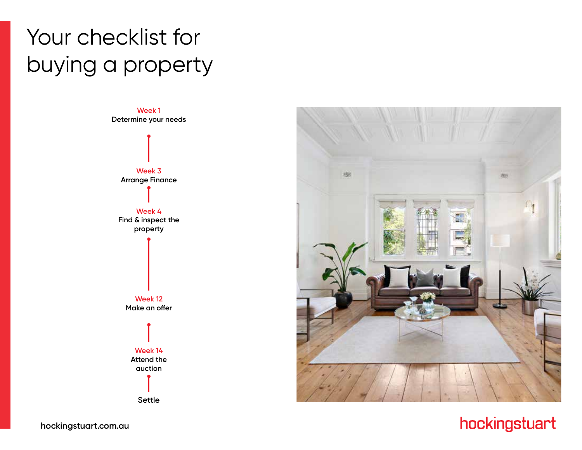# Your checklist for buying a property



**Settle**



### hockingstuart

**hockingstuart.com.au**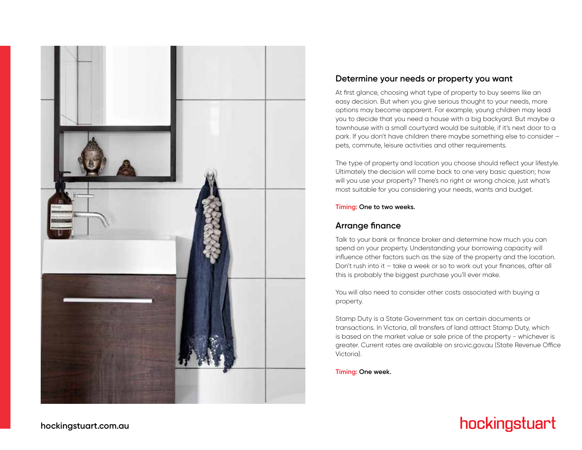

#### **Determine your needs or property you want**

At first glance, choosing what type of property to buy seems like an easy decision. But when you give serious thought to your needs, more options may become apparent. For example, young children may lead you to decide that you need a house with a big backyard. But maybe a townhouse with a small courtyard would be suitable, if it's next door to a park. If you don't have children there maybe something else to consider – pets, commute, leisure activities and other requirements.

The type of property and location you choose should reflect your lifestyle. Ultimately the decision will come back to one very basic question; how will you use your property? There's no right or wrong choice, just what's most suitable for you considering your needs, wants and budget.

**Timing: One to two weeks.**

#### **Arrange finance**

Talk to your bank or finance broker and determine how much you can spend on your property. Understanding your borrowing capacity will influence other factors such as the size of the property and the location. Don't rush into it – take a week or so to work out your finances, after all this is probably the biggest purchase you'll ever make.

You will also need to consider other costs associated with buying a property.

Stamp Duty is a State Government tax on certain documents or transactions. In Victoria, all transfers of land attract Stamp Duty, which is based on the market value or sale price of the property - whichever is greater. Current rates are available on sro.vic.gov.au (State Revenue Office Victoria).

**Timing: One week.**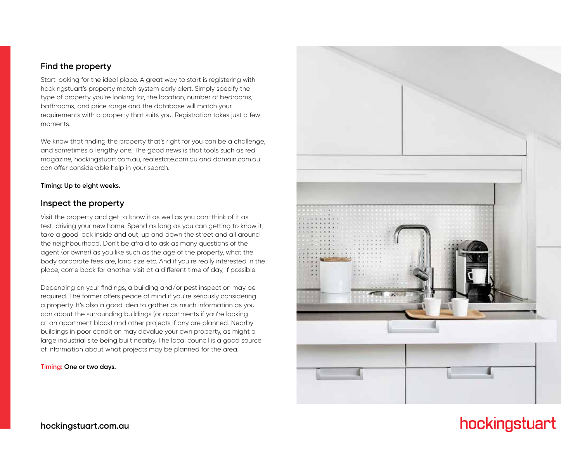#### **Find the property**

Start looking for the ideal place. A great way to start is registering with hockingstuart's property match system early alert. Simply specify the type of property you're looking for, the location, number of bedrooms, bathrooms, and price range and the database will match your requirements with a property that suits you. Registration takes just a few moments.

We know that finding the property that's right for you can be a challenge, and sometimes a lengthy one. The good news is that tools such as red magazine, hockingstuart.com.au, realestate.com.au and domain.com.au can offer considerable help in your search.

#### **Timing: Up to eight weeks.**

#### **Inspect the property**

Visit the property and get to know it as well as you can; think of it as test-driving your new home. Spend as long as you can getting to know it; take a good look inside and out, up and down the street and all around the neighbourhood. Don't be afraid to ask as many questions of the agent (or owner) as you like such as the age of the property, what the body corporate fees are, land size etc. And if you're really interested in the place, come back for another visit at a different time of day, if possible.

Depending on your findings, a building and/or pest inspection may be required. The former offers peace of mind if you're seriously considering a property. It's also a good idea to gather as much information as you can about the surrounding buildings (or apartments if you're looking at an apartment block) and other projects if any are planned. Nearby buildings in poor condition may devalue your own property, as might a large industrial site being built nearby. The local council is a good source of information about what projects may be planned for the area.

**Timing: One or two days.**

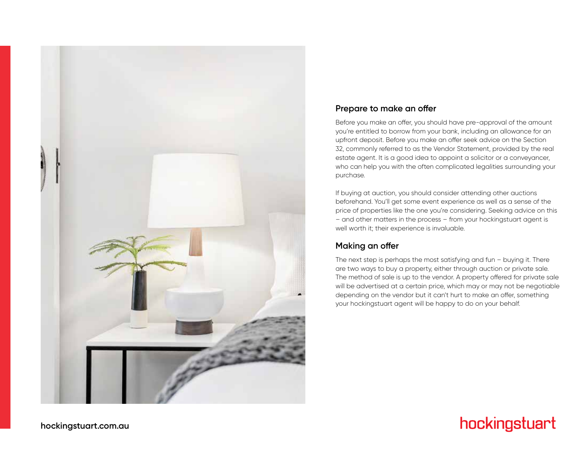

#### **Prepare to make an offer**

Before you make an offer, you should have pre-approval of the amount you're entitled to borrow from your bank, including an allowance for an upfront deposit. Before you make an offer seek advice on the Section 32, commonly referred to as the Vendor Statement, provided by the real estate agent. It is a good idea to appoint a solicitor or a conveyancer, who can help you with the often complicated legalities surrounding your purchase.

If buying at auction, you should consider attending other auctions beforehand. You'll get some event experience as well as a sense of the price of properties like the one you're considering. Seeking advice on this – and other matters in the process – from your hockingstuart agent is well worth it; their experience is invaluable.

#### **Making an offer**

The next step is perhaps the most satisfying and fun – buying it. There are two ways to buy a property, either through auction or private sale. The method of sale is up to the vendor. A property offered for private sale will be advertised at a certain price, which may or may not be negotiable depending on the vendor but it can't hurt to make an offer, something your hockingstuart agent will be happy to do on your behalf.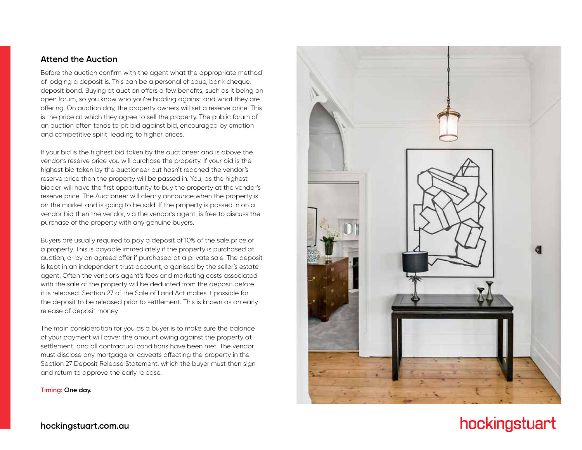#### **Attend the Auction**

Before the auction confirm with the agent what the appropriate method of lodging a deposit is. This can be a personal cheque, bank cheque, deposit bond. Buying at auction offers a few benefits, such as it being an open forum, so you know who you're bidding against and what they are offering. On auction day, the property owners will set a reserve price. This is the price at which they agree to sell the property. The public forum of an auction often tends to pit bid against bid, encouraged by emotion and competitive spirit, leading to higher prices.

If your bid is the highest bid taken by the auctioneer and is above the vendor's reserve price you will purchase the property. If your bid is the highest bid taken by the auctioneer but hasn't reached the vendor's reserve price then the property will be passed in. You, as the highest bidder, will have the first opportunity to buy the property at the vendor's reserve price. The Auctioneer will clearly announce when the property is on the market and is going to be sold. If the property is passed in on a vendor bid then the vendor, via the vendor's agent, is free to discuss the purchase of the property with any genuine buyers.

Buyers are usually required to pay a deposit of 10% of the sale price of a property. This is payable immediately if the property is purchased at auction, or by an agreed offer if purchased at a private sale. The deposit is kept in an independent trust account, organised by the seller's estate agent. Often the vendor's agent's fees and marketing costs associated with the sale of the property will be deducted from the deposit before it is released. Section 27 of the Sale of Land Act makes it possible for the deposit to be released prior to settlement. This is known as an early release of deposit money.

The main consideration for you as a buyer is to make sure the balance of your payment will cover the amount owing against the property at settlement, and all contractual conditions have been met. The vendor must disclose any mortgage or caveats affecting the property in the Section 27 Deposit Release Statement, which the buyer must then sign and return to approve the early release.

**Timing: One day.**